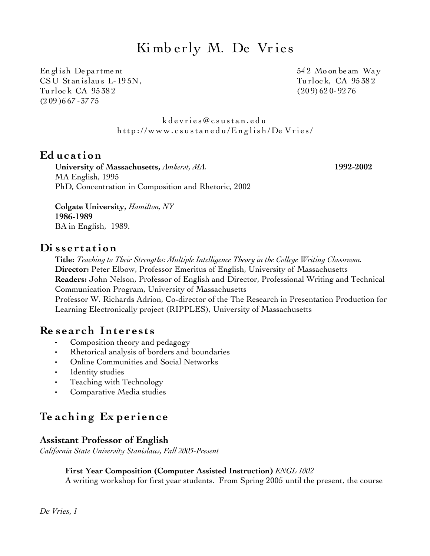# Ki mb erly M. De Vries

English Department the state of the state of the S42 Moon be am Way CSU Stanislaus L-195N, Turlock, CA 95382 Tu rloc k CA 95 38 2 (20 9) 62 0- 92 76 (2 09 )6 67 -37 75

k d e v ri e s @ c s u [st](file:///Users/kdevries/Documents/RPT/kdevries@csustan.edu) a n . e d u http://www.csustanedu/English/De Vries/

## **Ed uc a tion**

**University of Massachusetts,** *Amherst, MA.* **1992-2002** MA English, 1995 PhD, Concentration in Composition and Rhetoric, 2002

**Colgate University,** *Hamilton, NY* **1986-1989** BA in English, 1989.

## **Di s s e r t a tion**

**Title:** *Teaching to Their Strengths: Multiple Intelligence Theory in the College Writing Classroom.* **Director:** Peter Elbow, Professor Emeritus of English, University of Massachusetts **Readers:** John Nelson, Professor of English and Director, Professional Writing and Technical Communication Program, University of Massachusetts

Professor W. Richards Adrion, Co-director of the The Research in Presentation Production for Learning Electronically project (RIPPLES), University of Massachusetts

## **Re s e a r ch Int e r e s t s**

- Composition theory and pedagogy
- Rhetorical analysis of borders and boundaries
- Online Communities and Social Networks
- Identity studies
- Teaching with Technology
- Comparative Media studies

# **Te a ching Ex pe r i enc e**

#### **Assistant Professor of English**

*California State University Stanislaus, Fall 2005-Present* 

#### **First Year Composition (Computer Assisted Instruction)** *ENGL 1002*

A writing workshop for first year students. From Spring 2005 until the present, the course

*De Vries, 1*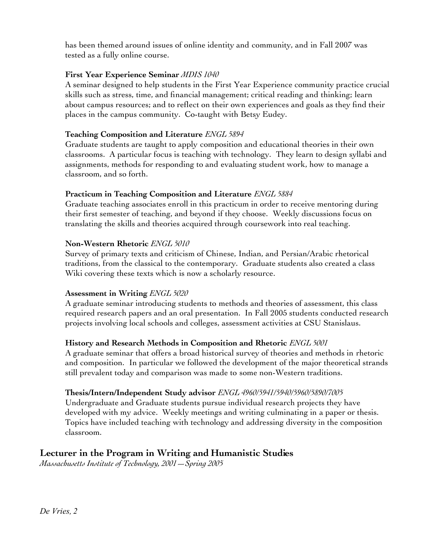has been themed around issues of online identity and community, and in Fall 2007 was tested as a fully online course.

#### **First Year Experience Seminar** *MDIS 1040*

A seminar designed to help students in the First Year Experience community practice crucial skills such as stress, time, and financial management; critical reading and thinking; learn about campus resources; and to reflect on their own experiences and goals as they find their places in the campus community. Co-taught with Betsy Eudey.

#### **Teaching Composition and Literature** *ENGL 5894*

Graduate students are taught to apply composition and educational theories in their own classrooms. A particular focus is teaching with technology. They learn to design syllabi and assignments, methods for responding to and evaluating student work, how to manage a classroom, and so forth.

#### **Practicum in Teaching Composition and Literature** *ENGL 5884*

Graduate teaching associates enroll in this practicum in order to receive mentoring during their first semester of teaching, and beyond if they choose. Weekly discussions focus on translating the skills and theories acquired through coursework into real teaching.

#### **Non-Western Rhetoric** *ENGL 5010*

Survey of primary texts and criticism of Chinese, Indian, and Persian/Arabic rhetorical traditions, from the classical to the contemporary. Graduate students also created a class Wiki covering these texts which is now a scholarly resource.

#### **Assessment in Writing** *ENGL 5020*

A graduate seminar introducing students to methods and theories of assessment, this class required research papers and an oral presentation. In Fall 2005 students conducted research projects involving local schools and colleges, assessment activities at CSU Stanislaus.

#### **History and Research Methods in Composition and Rhetoric** *ENGL 5001*

A graduate seminar that offers a broad historical survey of theories and methods in rhetoric and composition. In particular we followed the development of the major theoretical strands still prevalent today and comparison was made to some non-Western traditions.

#### **Thesis/Intern/Independent Study advisor** *ENGL 4960/5941/5940/5960/5890/7005*

Undergraduate and Graduate students pursue individual research projects they have developed with my advice. Weekly meetings and writing culminating in a paper or thesis. Topics have included teaching with technology and addressing diversity in the composition classroom.

## **Lecturer in the Program in Writing and Humanistic Studies**

*Massachusetts Institute of Technology, 2001—Spring 2005*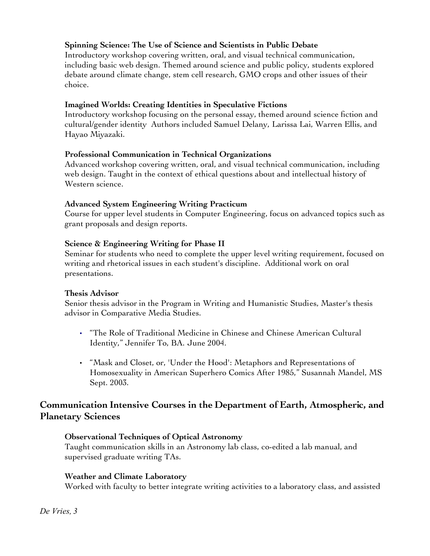## **Spinning Science: The Use of Science and Scientists in Public Debate**

Introductory workshop covering written, oral, and visual technical communication, including basic web design. Themed around science and public policy, students explored debate around climate change, stem cell research, GMO crops and other issues of their choice.

#### **Imagined Worlds: Creating Identities in Speculative Fictions**

Introductory workshop focusing on the personal essay, themed around science fiction and cultural/gender identity Authors included Samuel Delany, Larissa Lai, Warren Ellis, and Hayao Miyazaki.

#### **Professional Communication in Technical Organizations**

Advanced workshop covering written, oral, and visual technical communication, including web design. Taught in the context of ethical questions about and intellectual history of Western science.

#### **Advanced System Engineering Writing Practicum**

Course for upper level students in Computer Engineering, focus on advanced topics such as grant proposals and design reports.

#### **Science & Engineering Writing for Phase II**

Seminar for students who need to complete the upper level writing requirement, focused on writing and rhetorical issues in each student's discipline. Additional work on oral presentations.

#### **Thesis Advisor**

Senior thesis advisor in the Program in Writing and Humanistic Studies, Master's thesis advisor in Comparative Media Studies.

- "The Role of Traditional Medicine in Chinese and Chinese American Cultural Identity," Jennifer To, BA. June 2004.
- "Mask and Closet, or, 'Under the Hood': Metaphors and Representations of Homosexuality in American Superhero Comics After 1985," Susannah Mandel, MS Sept. 2003.

## **Communication Intensive Courses in the Department of Earth, Atmospheric, and Planetary Sciences**

#### **Observational Techniques of Optical Astronomy**

Taught communication skills in an Astronomy lab class, co-edited a lab manual, and supervised graduate writing TAs.

#### **Weather and Climate Laboratory**

Worked with faculty to better integrate writing activities to a laboratory class, and assisted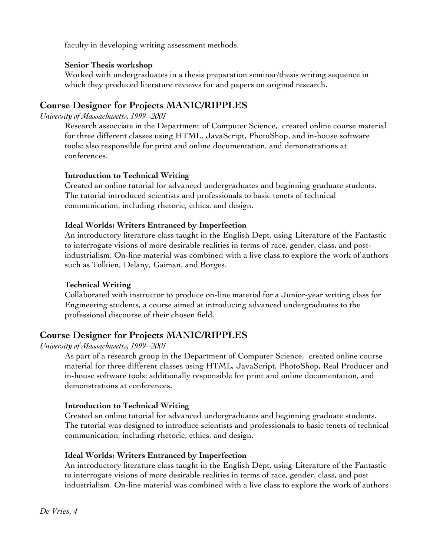faculty in developing writing assessment methods.

#### **Senior Thesis workshop**

Worked with undergraduates in a thesis preparation seminar/thesis writing sequence in which they produced literature reviews for and papers on original research.

## **Course Designer for [Projects MANIC/RIPPLES](http://manic.cs.umass.edu/)**

*University of Massachusetts, 1999--2001*

Research assocciate in the Department of Computer Science, created online course material for three different classes using HTML, JavaScript, PhotoShop, and in-house software tools; also responsible for print and online documentation, and demonstrations at conferences.

#### **Introduction to Technical Writing**

Created an online tutorial for advanced undergraduates and beginning graduate students. The tutorial introduced scientists and professionals to basic tenets of technical communication, including rhetoric, ethics, and design.

#### **Ideal Worlds: Writers Entranced by Imperfection**

An introductory literature class taught in the English Dept. using Literature of the Fantastic to interrogate visions of more desirable realities in terms of race, gender, class, and postindustrialism. On-line material was combined with a live class to explore the work of authors such as Tolkien, Delany, Gaiman, and Borges.

#### **Technical Writing**

Collaborated with instructor to produce on-line material for a Junior-year writing class for Engineering students, a course aimed at introducing advanced undergraduates to the professional discourse of their chosen field.

## **Course Designer for [Projects MANIC/RIPPLES](http://manic.cs.umass.edu/)**

*University of Massachusetts, 1999--2001*

As part of a research group in the Department of Computer Science, created online course material for three different classes using HTML, JavaScript, PhotoShop, Real Producer and in-house software tools; additionally responsible for print and online documentation, and demonstrations at conferences.

#### **Introduction to Technical Writing**

Created an online tutorial for advanced undergraduates and beginning graduate students. The tutorial was designed to introduce scientists and professionals to basic tenets of technical communication, including rhetoric, ethics, and design.

#### **Ideal Worlds: Writers Entranced by Imperfection**

An introductory literature class taught in the English Dept. using Literature of the Fantastic to interrogate visions of more desirable realities in terms of race, gender, class, and post industrialism. On-line material was combined with a live class to explore the work of authors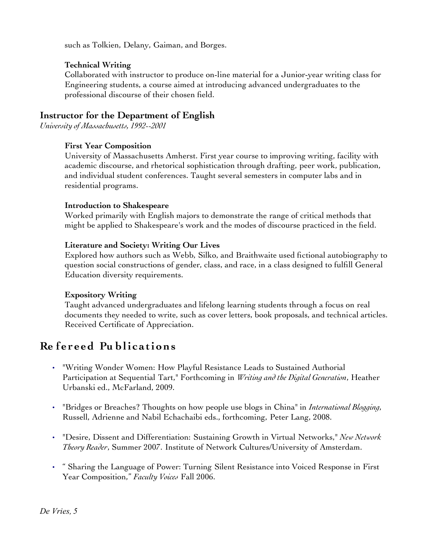such as Tolkien, Delany, Gaiman, and Borges.

#### **Technical Writing**

Collaborated with instructor to produce on-line material for a Junior-year writing class for Engineering students, a course aimed at introducing advanced undergraduates to the professional discourse of their chosen field.

## **Instructor for the Department of English**

*University of Massachusetts, 1992--2001*

#### **First Year Composition**

University of Massachusetts Amherst. First year course to improving writing, facility with academic discourse, and rhetorical sophistication through drafting, peer work, publication, and individual student conferences. Taught several semesters in computer labs and in residential programs.

#### **Introduction to Shakespeare**

Worked primarily with English majors to demonstrate the range of critical methods that might be applied to Shakespeare's work and the modes of discourse practiced in the field.

#### **Literature and Society: Writing Our Lives**

Explored how authors such as Webb, Silko, and Braithwaite used fictional autobiography to question social constructions of gender, class, and race, in a class designed to fulfill General Education diversity requirements.

#### **Expository Writing**

Taught advanced undergraduates and lifelong learning students through a focus on real documents they needed to write, such as cover letters, book proposals, and technical articles. Received Certificate of Appreciation.

# **Re f e r e ed Pu bli c a tions**

- "Writing Wonder Women: How Playful Resistance Leads to Sustained Authorial Participation at Sequential Tart," Forthcoming in *Writing and the Digital Generation*, Heather Urbanski ed., McFarland, 2009.
- "Bridges or Breaches? Thoughts on how people use blogs in China" in *International Blogging*, Russell, Adrienne and Nabil Echachaibi eds., forthcoming, Peter Lang, 2008.
- "Desire, Dissent and Differentiation: Sustaining Growth in Virtual Networks," *New Network Theory Reader*, Summer 2007. Institute of Network Cultures/University of Amsterdam.
- " Sharing the Language of Power: Turning Silent Resistance into Voiced Response in First Year Composition," *Faculty Voices* Fall 2006.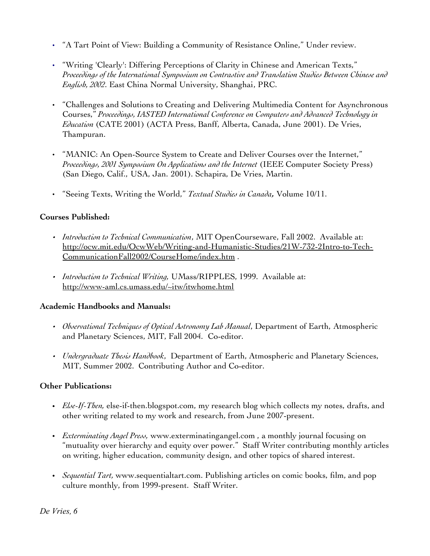- "A Tart Point of View: Building a Community of Resistance Online," Under review.
- "Writing 'Clearly': Differing Perceptions of Clarity in Chinese and American Texts," *Proceedings of the International Symposium on Contrastive and Translation Studies Between Chinese and English, 2002*. East China Normal University, Shanghai, PRC.
- "Challenges and Solutions to Creating and Delivering Multimedia Content for Asynchronous Courses," *Proceedings, IASTED International Conference on Computers and Advanced Technology in Education* (CATE 2001) (ACTA Press, Banff, Alberta, Canada, June 2001). De Vries, Thampuran.
- "MANIC: An Open-Source System to Create and Deliver Courses over the Internet," *Proceedings, 2001 Symposium On Applications and the Internet* (IEEE Computer Society Press) (San Diego, Calif., USA, Jan. 2001). Schapira, De Vries, Martin.
- "Seeing Texts, Writing the World," *Textual Studies in Canada,* Volume 10/11.

#### **Courses Published:**

- *Introduction to Technical Communication*, MIT OpenCourseware, Fall 2002. Available at: http://ocw.mit.edu/OcwWeb/Writing-and-Humanistic-Studies/21W-732-2Intro-to-Tech-CommunicationFall2002/CourseHome/index.htm .
- *Introduction to Technical Writing,* UMass/RIPPLES, 1999. Available at: http://www-aml.cs.umass.edu/~itw/itwhome.html

#### **Academic Handbooks and Manuals:**

- *Observational Techniques of Optical Astronomy Lab Manual*, Department of Earth, Atmospheric and Planetary Sciences, MIT, Fall 2004. Co-editor.
- *Undergraduate Thesis Handbook*, Department of Earth, Atmospheric and Planetary Sciences, MIT, Summer 2002. Contributing Author and Co-editor.

## **Other Publications:**

- *Else-If-Then,* else-if-then.blogspot.com, my research blog which collects my notes, drafts, and other writing related to my work and research, from June 2007-present.
- *Exterminating Angel Press,* www.exterminatingangel.com , a monthly journal focusing on "mutuality over hierarchy and equity over power." Staff Writer contributing monthly articles on writing, higher education, community design, and other topics of shared interest.
- *Sequential Tart,* www.sequentialtart.com. Publishing articles on comic books, film, and pop culture monthly, from 1999-present. Staff Writer.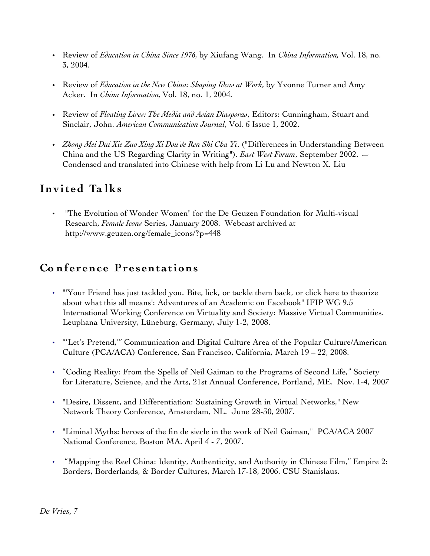- Review of *Education in China Since 1976,* by Xiufang Wang. In *China Information,* Vol. 18, no. 3, 2004.
- Review of *Education in the New China: Shaping Ideas at Work*, by Yvonne Turner and Amy Acker. In *China Information,* Vol. 18, no. 1, 2004.
- Review of *Floating Lives: The Media and Asian Diasporas*, Editors: Cunningham, Stuart and Sinclair, John. *American Communication Journal*, Vol. 6 Issue 1, 2002.
- *Zhong Mei Dui Xie Zuo Xing Xi Dou de Ren Shi Cha Yi*. ("Differences in Understanding Between China and the US Regarding Clarity in Writing"). *East West Forum*, September 2002. — Condensed and translated into Chinese with help from Li Lu and Newton X. Liu

# **Inv it ed Ta lks**

• "The Evolution of Wonder Women" for the De Geuzen Foundation for Multi-visual Research, *Female Icons* Series, January 2008. Webcast archived at http://www.geuzen.org/female\_icons/?p=448

## **Co nf e r enc e Pr e s ent a tions**

- "'Your Friend has just tackled you. Bite, lick, or tackle them back, or click here to theorize about what this all means': Adventures of an Academic on Facebook" IFIP WG 9.5 International Working Conference on Virtuality and Society: Massive Virtual Communities. Leuphana University, Lüneburg, Germany, July 1-2, 2008.
- "'Let's Pretend,'" Communication and Digital Culture Area of the Popular Culture/American Culture (PCA/ACA) Conference, San Francisco, California, March 19 – 22, 2008.
- "Coding Reality: From the Spells of Neil Gaiman to the Programs of Second Life," Society for Literature, Science, and the Arts, 21st Annual Conference, Portland, ME. Nov. 1-4, 2007
- "Desire, Dissent, and Differentiation: Sustaining Growth in Virtual Networks," New Network Theory Conference, Amsterdam, NL. June 28-30, 2007.
- "Liminal Myths: heroes of the fin de siecle in the work of Neil Gaiman," PCA/ACA 2007 National Conference, Boston MA. April 4 - 7, 2007.
- "Mapping the Reel China: Identity, Authenticity, and Authority in Chinese Film," Empire 2: Borders, Borderlands, & Border Cultures, March 17-18, 2006. CSU Stanislaus.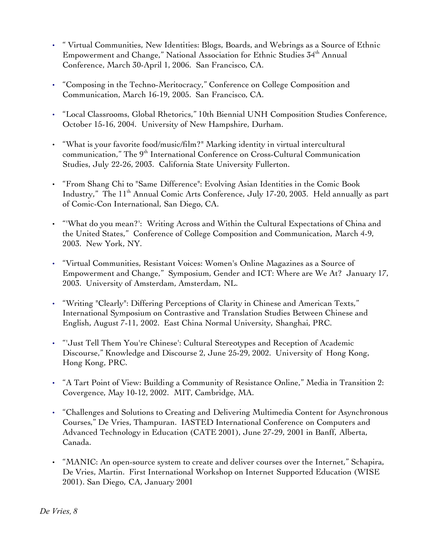- " Virtual Communities, New Identities: Blogs, Boards, and Webrings as a Source of Ethnic Empowerment and Change," National Association for Ethnic Studies 34th Annual Conference, March 30-April 1, 2006. San Francisco, CA.
- "Composing in the Techno-Meritocracy," Conference on College Composition and Communication, March 16-19, 2005. San Francisco, CA.
- "Local Classrooms, Global Rhetorics," 10th Biennial UNH Composition Studies Conference, October 15-16, 2004. University of New Hampshire, Durham.
- "What is your favorite food/music/film?" Marking identity in virtual intercultural communication," The 9<sup>th</sup> International Conference on Cross-Cultural Communication Studies, July 22-26, 2003. California State University Fullerton.
- "From Shang Chi to "Same Difference": Evolving Asian Identities in the Comic Book Industry," The 11<sup>th</sup> Annual Comic Arts Conference, July 17-20, 2003. Held annually as part of Comic-Con International, San Diego, CA.
- "'What do you mean?': Writing Across and Within the Cultural Expectations of China and the United States," Conference of College Composition and Communication, March 4-9, 2003. New York, NY.
- "Virtual Communities, Resistant Voices: Women's Online Magazines as a Source of Empowerment and Change," Symposium, Gender and ICT: Where are We At? January 17, 2003. University of Amsterdam, Amsterdam, NL.
- "Writing "Clearly": Differing Perceptions of Clarity in Chinese and American Texts," International Symposium on Contrastive and Translation Studies Between Chinese and English, August 7-11, 2002. East China Normal University, Shanghai, PRC.
- "'Just Tell Them You're Chinese': Cultural Stereotypes and Reception of Academic Discourse," Knowledge and Discourse 2, June 25-29, 2002. University of Hong Kong, Hong Kong, PRC.
- "A Tart Point of View: Building a Community of Resistance Online," Media in Transition 2: Covergence, May 10-12, 2002. MIT, Cambridge, MA.
- "Challenges and Solutions to Creating and Delivering Multimedia Content for Asynchronous Courses," De Vries, Thampuran. IASTED International Conference on Computers and Advanced Technology in Education (CATE 2001), June 27-29, 2001 in Banff, Alberta, Canada.
- "MANIC: An open-source system to create and deliver courses over the Internet," Schapira, De Vries, Martin. First International Workshop on Internet Supported Education (WISE 2001). San Diego, CA, January 2001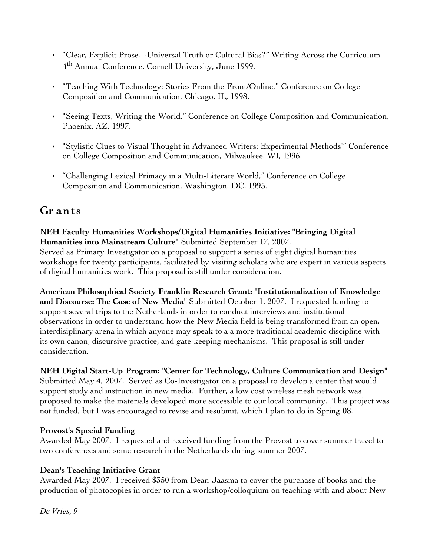- "Clear, Explicit Prose—Universal Truth or Cultural Bias?" Writing Across the Curriculum 4<sup>th</sup> Annual Conference. Cornell University, June 1999.
- "Teaching With Technology: Stories From the Front/Online," Conference on College Composition and Communication, Chicago, IL, 1998.
- ["Seeing Texts, Writing the World," C](file:///../Documents and Settings/Kim/My Documents/jobstuff/webpages/4cpaperx.html)onference on College Composition and Communication, Phoenix, AZ, 1997.
- "Stylistic Clues to Visual Thought in Advanced Writers: Experimental Methods'" Conference on College Composition and Communication, Milwaukee, WI, 1996.
- "Challenging Lexical Primacy in a Multi-Literate World," Conference on College Composition and Communication, Washington, DC, 1995.

## **Gr ant s**

#### **NEH Faculty Humanities Workshops/Digital Humanities Initiative: "Bringing Digital Humanities into Mainstream Culture"** Submitted September 17, 2007. Served as Primary Investigator on a proposal to support a series of eight digital humanities workshops for twenty participants, facilitated by visiting scholars who are expert in various aspects of digital humanities work. This proposal is still under consideration.

**American Philosophical Society Franklin Research Grant: "Institutionalization of Knowledge and Discourse: The Case of New Media"** Submitted October 1, 2007. I requested funding to support several trips to the Netherlands in order to conduct interviews and institutional observations in order to understand how the New Media field is being transformed from an open, interdisiplinary arena in which anyone may speak to a a more traditional academic discipline with its own canon, discursive practice, and gate-keeping mechanisms. This proposal is still under consideration.

#### **NEH Digital Start-Up Program: "Center for Technology, Culture Communication and Design"** Submitted May 4, 2007. Served as Co-Investigator on a proposal to develop a center that would support study and instruction in new media. Further, a low cost wireless mesh network was proposed to make the materials developed more accessible to our local community. This project was not funded, but I was encouraged to revise and resubmit, which I plan to do in Spring 08.

## **Provost's Special Funding**

Awarded May 2007. I requested and received funding from the Provost to cover summer travel to two conferences and some research in the Netherlands during summer 2007.

## **Dean's Teaching Initiative Grant**

Awarded May 2007. I received \$350 from Dean Jaasma to cover the purchase of books and the production of photocopies in order to run a workshop/colloquium on teaching with and about New

*De Vries, 9*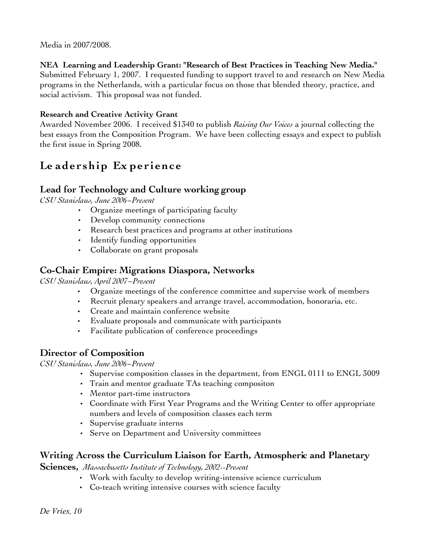Media in 2007/2008.

**NEA Learning and Leadership Grant: "Research of Best Practices in Teaching New Media."** Submitted February 1, 2007. I requested funding to support travel to and research on New Media programs in the Netherlands, with a particular focus on those that blended theory, practice, and social activism. This proposal was not funded.

## **Research and Creative Activity Grant**

Awarded November 2006. I received \$1340 to publish *Raising Our Voices* a journal collecting the best essays from the Composition Program. We have been collecting essays and expect to publish the first issue in Spring 2008.

# **Le ade r ship Ex pe r i enc e**

## **Lead for Technology and Culture working group**

*CSU Stanislaus, June 2006*˗*Present*

- •Organize meetings of participating faculty
- Develop community connections
- Research best practices and programs at other institutions
- Identify funding opportunities
- Collaborate on grant proposals

## **Co-Chair Empire: Migrations Diaspora, Networks**

*CSU Stanislaus, April 2007*˗*Present* 

- Organize meetings of the conference committee and supervise work of members
- Recruit plenary speakers and arrange travel, accommodation, honoraria, etc.
- Create and maintain conference website
- Evaluate proposals and communicate with participants
- Facilitate publication of conference proceedings

## **Director of Composition**

#### *CSU Stanislaus, June 2006*˗*Present*

- Supervise composition classes in the department, from ENGL 0111 to ENGL 3009
- Train and mentor graduate TAs teaching compositon
- Mentor part-time instructors
- Coordinate with First Year Programs and the Writing Center to offer appropriate numbers and levels of composition classes each term
- Supervise graduate interns
- Serve on Department and University committees

## **Writing Across the Curriculum Liaison for Earth, Atmospheric and Planetary**

**Sciences,** *Massachusetts Institute of Technology, 2002--Present* 

- Work with faculty to develop writing-intensive science curriculum
- Co-teach writing intensive courses with science faculty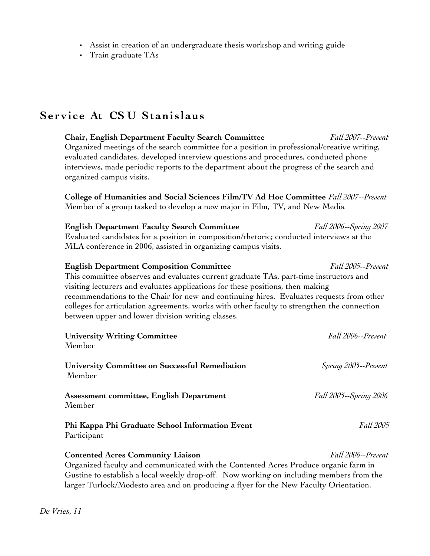- Assist in creation of an undergraduate thesis workshop and writing guide
- Train graduate TAs

# **Se r v i c e At CS U St ani s l aus**

| <b>Chair, English Department Faculty Search Committee</b><br>Organized meetings of the search committee for a position in professional/creative writing,<br>evaluated candidates, developed interview questions and procedures, conducted phone<br>interviews, made periodic reports to the department about the progress of the search and<br>organized campus visits.                                                                                                                          | Fall 2007--Present     |
|--------------------------------------------------------------------------------------------------------------------------------------------------------------------------------------------------------------------------------------------------------------------------------------------------------------------------------------------------------------------------------------------------------------------------------------------------------------------------------------------------|------------------------|
| College of Humanities and Social Sciences Film/TV Ad Hoc Committee Fall 2007--Present<br>Member of a group tasked to develop a new major in Film, TV, and New Media                                                                                                                                                                                                                                                                                                                              |                        |
| <b>English Department Faculty Search Committee</b><br>Evaluated candidates for a position in composition/rhetoric; conducted interviews at the<br>MLA conference in 2006, assisted in organizing campus visits.                                                                                                                                                                                                                                                                                  | Fall 2006--Spring 2007 |
| Fall 2005--Present<br><b>English Department Composition Committee</b><br>This committee observes and evaluates current graduate TAs, part-time instructors and<br>visiting lecturers and evaluates applications for these positions, then making<br>recommendations to the Chair for new and continuing hires. Evaluates requests from other<br>colleges for articulation agreements, works with other faculty to strengthen the connection<br>between upper and lower division writing classes. |                        |
| <b>University Writing Committee</b><br>Member                                                                                                                                                                                                                                                                                                                                                                                                                                                    | Fall 2006--Present     |
| University Committee on Successful Remediation<br>Member                                                                                                                                                                                                                                                                                                                                                                                                                                         | Spring 2005--Present   |
| Assessment committee, English Department<br>Member                                                                                                                                                                                                                                                                                                                                                                                                                                               | Fall 2005--Spring 2006 |
| Phi Kappa Phi Graduate School Information Event<br>Participant                                                                                                                                                                                                                                                                                                                                                                                                                                   | Fall 2005              |
| <b>Contented Acres Community Liaison</b><br>Fall 2006--Present<br>Organized faculty and communicated with the Contented Acres Produce organic farm in<br>Gustine to establish a local weekly drop-off. Now working on including members from the<br>larger Turlock/Modesto area and on producing a flyer for the New Faculty Orientation.                                                                                                                                                        |                        |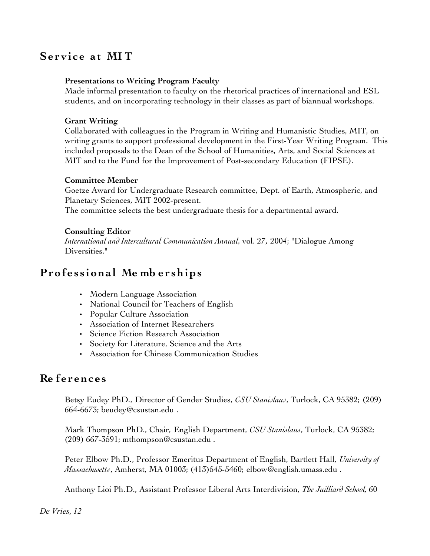## **Se r v i c e a t MI T**

#### **Presentations to Writing Program Faculty**

Made informal presentation to faculty on the rhetorical practices of international and ESL students, and on incorporating technology in their classes as part of biannual workshops.

#### **Grant Writing**

Collaborated with colleagues in the Program in Writing and Humanistic Studies, MIT, on writing grants to support professional development in the First-Year Writing Program. This included proposals to the Dean of the School of Humanities, Arts, and Social Sciences at MIT and to the Fund for the Improvement of Post-secondary Education (FIPSE).

#### **Committee Member**

Goetze Award for Undergraduate Research committee, Dept. of Earth, Atmospheric, and Planetary Sciences, MIT 2002-present.

The committee selects the best undergraduate thesis for a departmental award.

#### **Consulting Editor**

*International and Intercultural Communication Annual*, vol. 27, 2004; "Dialogue Among Diversities."

## **Pro f e s s iona l Me mb e r ships**

- Modern Language Association
- National Council for Teachers of English
- Popular Culture Association
- Association of Internet Researchers
- Science Fiction Research Association
- Society for Literature, Science and the Arts
- Association for Chinese Communication Studies

## **Re f e r enc e s**

Betsy Eudey PhD., Director of Gender Studies, *CSU Stanislaus*, Turlock, CA 95382; (209) 664-6673; beudey@csustan.edu .

Mark Thompson PhD., Chair, English Department, *CSU Stanislaus*, Turlock, CA 95382; (209) 667-3591; mthompson@csustan.edu .

Peter Elbow Ph.D., Professor Emeritus Department of English, Bartlett Hall, *University of Massachusetts*, Amherst, MA 01003; (413)545-5460; elbow@english.umass.edu .

Anthony Lioi Ph.D., Assistant Professor Liberal Arts Interdivision, *The Juilliard School,* 60